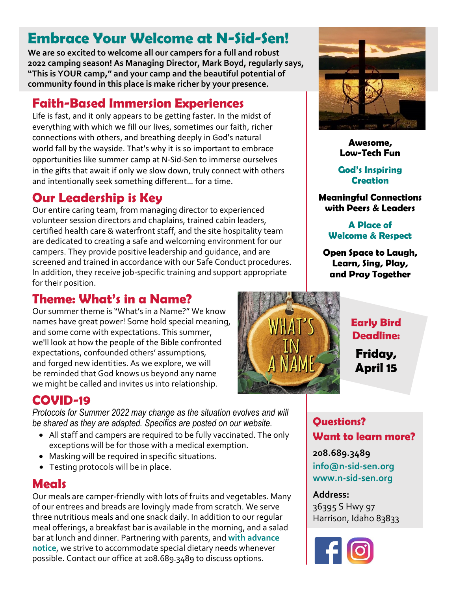# **Embrace Your Welcome at N-Sid-Sen!**

**We are so excited to welcome all our campers for a full and robust 2022 camping season! As Managing Director, Mark Boyd, regularly says, "This is YOUR camp," and your camp and the beautiful potential of community found in this place is make richer by your presence.**

## **Faith-Based Immersion Experiences**

Life is fast, and it only appears to be getting faster. In the midst of everything with which we fill our lives, sometimes our faith, richer connections with others, and breathing deeply in God's natural world fall by the wayside. That's why it is so important to embrace opportunities like summer camp at N-Sid-Sen to immerse ourselves in the gifts that await if only we slow down, truly connect with others and intentionally seek something different… for a time.

## **Our Leadership is Key**

Our entire caring team, from managing director to experienced volunteer session directors and chaplains, trained cabin leaders, certified health care & waterfront staff, and the site hospitality team are dedicated to creating a safe and welcoming environment for our campers. They provide positive leadership and guidance, and are screened and trained in accordance with our Safe Conduct procedures. In addition, they receive job-specific training and support appropriate for their position.

### **Theme: What's in a Name?**

Our summer theme is "What's in a Name?" We know names have great power! Some hold special meaning, and some come with expectations. This summer, we'll look at how the people of the Bible confronted expectations, confounded others' assumptions, and forged new identities. As we explore, we will be reminded that God knows us beyond any name we might be called and invites us into relationship.

### **COVID-19**

*Protocols for Summer 2022 may change as the situation evolves and will be shared as they are adapted. Specifics are posted on our website.*

- All staff and campers are required to be fully vaccinated. The only exceptions will be for those with a medical exemption.
- Masking will be required in specific situations.
- Testing protocols will be in place.

### **Meals**

Our meals are camper-friendly with lots of fruits and vegetables. Many of our entrees and breads are lovingly made from scratch. We serve three nutritious meals and one snack daily. In addition to our regular meal offerings, a breakfast bar is available in the morning, and a salad bar at lunch and dinner. Partnering with parents, and **with advance notice**, we strive to accommodate special dietary needs whenever possible. Contact our office at 208.689.3489 to discuss options.



#### **Awesome, Low-Tech Fun**

#### **God's Inspiring Creation**

**Meaningful Connections with Peers & Leaders**

#### **A Place of Welcome & Respect**

**Open Space to Laugh, Learn, Sing, Play, and Pray Together**



#### **Early Bird Deadline:**

**Friday, April 15**

#### **Questions? Want to learn more?**

**208.689.3489 info@n-sid-sen.org www.n-sid-sen.org**

#### **Address:**

36395 S Hwy 97 Harrison, Idaho 83833